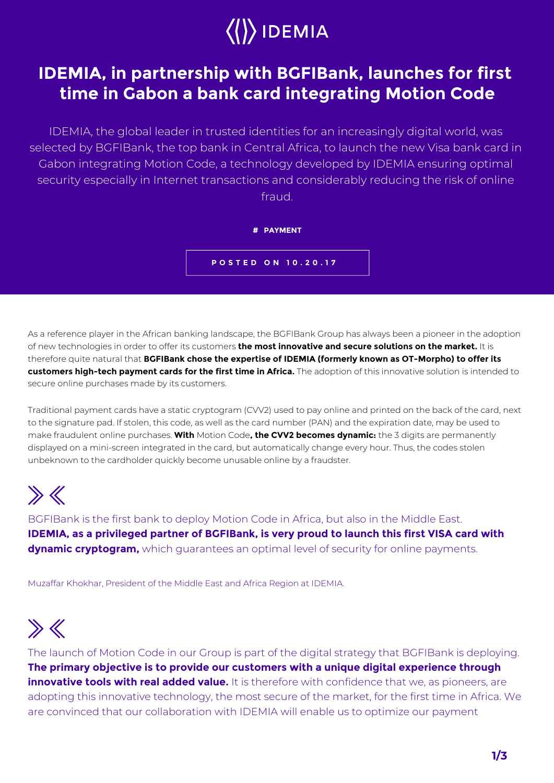

### **IDEMIA, in partnership with BGFIBank, launches for first time in Gabon a bank card integrating Motion Code**

IDEMIA, the global leader in trusted identities for an increasingly digital world, was selected by BGFIBank, the top bank in Central Africa, to launch the new Visa bank card in Gabon integrating Motion Code, a technology developed by IDEMIA ensuring optimal security especially in Internet transactions and considerably reducing the risk of online fraud.



As a reference player in the African banking landscape, the BGFIBank Group has always been a pioneer in the adoption of new technologies in order to offer its customers **the most innovative and secure solutions on the market.** It is therefore quite natural that **BGFIBank chose the expertise of IDEMIA (formerly known as OT-Morpho) to offer its customers high-tech payment cards for the first time in Africa.** The adoption of this innovative solution is intended to secure online purchases made by its customers.

Traditional payment cards have a static cryptogram (CVV2) used to pay online and printed on the back of the card, next to the signature pad. If stolen, this code, as well as the card number (PAN) and the expiration date, may be used to make fraudulent online purchases. **With** Motion Code**, the CVV2 becomes dynamic:** the 3 digits are permanently displayed on a mini-screen integrated in the card, but automatically change every hour. Thus, the codes stolen unbeknown to the cardholder quickly become unusable online by a fraudster.

# $\gg K$

BGFIBank is the first bank to deploy Motion Code in Africa, but also in the Middle East. **IDEMIA, as a privileged partner of BGFIBank, is very proud to launch this first VISA card with dynamic cryptogram,** which quarantees an optimal level of security for online payments.

Muzaffar Khokhar, President of the Middle East and Africa Region at IDEMIA.

# $\gg K$

The launch of Motion Code in our Group is part of the digital strategy that BGFIBank is deploying. **The primary objective is to provide our customers with a unique digital experience through innovative tools with real added value.** It is therefore with confidence that we, as pioneers, are adopting this innovative technology, the most secure of the market, for the first time in Africa. We are convinced that our collaboration with IDEMIA will enable us to optimize our payment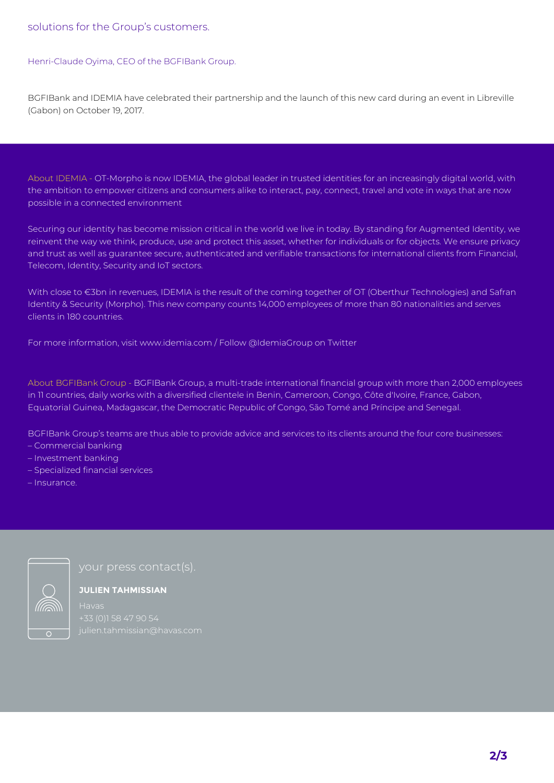#### Henri-Claude Oyima, CEO of the BGFIBank Group.

BGFIBank and IDEMIA have celebrated their partnership and the launch of this new card during an event in Libreville (Gabon) on October 19, 2017.

About IDEMIA - OT-Morpho is now IDEMIA, the global leader in trusted identities for an increasingly digital world, with the ambition to empower citizens and consumers alike to interact, pay, connect, travel and vote in ways that are now possible in a connected environment

Securing our identity has become mission critical in the world we live in today. By standing for Augmented Identity, we reinvent the way we think, produce, use and protect this asset, whether for individuals or for objects. We ensure privacy and trust as well as guarantee secure, authenticated and verifiable transactions for international clients from Financial, Telecom, Identity, Security and IoT sectors.

With close to €3bn in revenues, IDEMIA is the result of the coming together of OT (Oberthur Technologies) and Safran Identity & Security (Morpho). This new company counts 14,000 employees of more than 80 nationalities and serves clients in 180 countries.

For more information, visit www.idemia.com / Follow @IdemiaGroup on Twitter

About BGFIBank Group - BGFIBank Group, a multi-trade international financial group with more than 2,000 employees in 11 countries, daily works with a diversified clientele in Benin, Cameroon, Congo, Côte d'Ivoire, France, Gabon, Equatorial Guinea, Madagascar, the Democratic Republic of Congo, São Tomé and Príncipe and Senegal.

BGFIBank Group's teams are thus able to provide advice and services to its clients around the four core businesses:

- Commercial banking
- Investment banking
- Specialized financial services
- Insurance.



**JULIEN TAHMISSIAN**

+33 (0)1 58 47 90 54